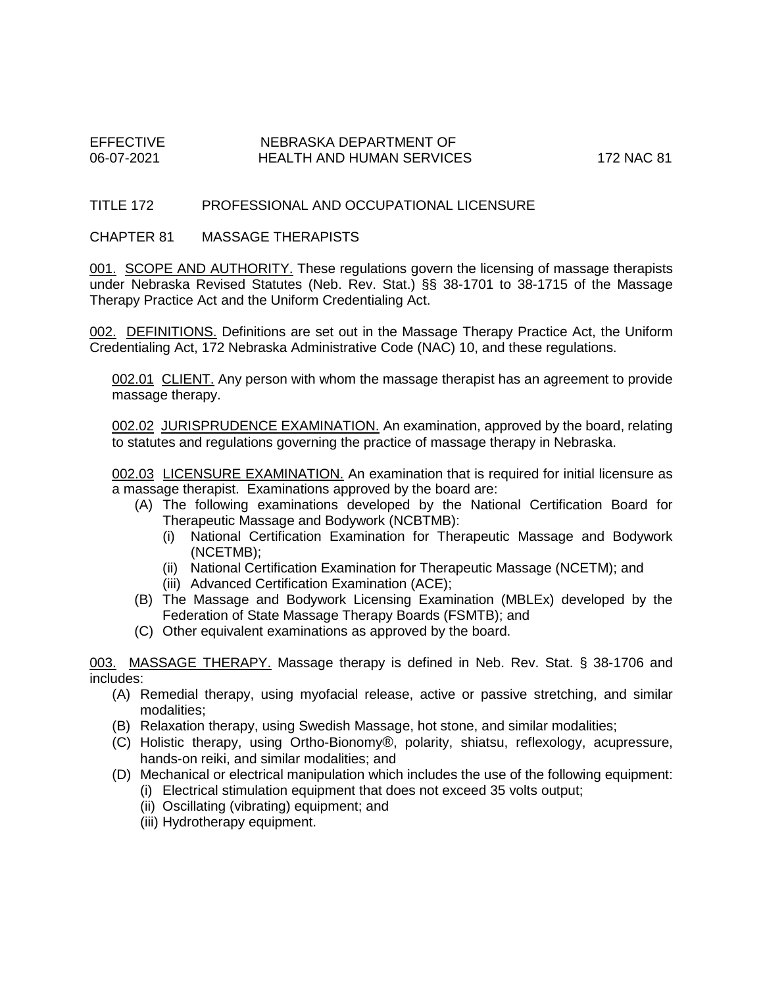# EFFECTIVE NEBRASKA DEPARTMENT OF HEALTH AND HUMAN SERVICES 172 NAC 81

# TITLE 172 PROFESSIONAL AND OCCUPATIONAL LICENSURE

#### CHAPTER 81 MASSAGE THERAPISTS

001. SCOPE AND AUTHORITY. These regulations govern the licensing of massage therapists under Nebraska Revised Statutes (Neb. Rev. Stat.) §§ 38-1701 to 38-1715 of the Massage Therapy Practice Act and the Uniform Credentialing Act.

002. DEFINITIONS. Definitions are set out in the Massage Therapy Practice Act, the Uniform Credentialing Act, 172 Nebraska Administrative Code (NAC) 10, and these regulations.

002.01 CLIENT. Any person with whom the massage therapist has an agreement to provide massage therapy.

002.02 JURISPRUDENCE EXAMINATION. An examination, approved by the board, relating to statutes and regulations governing the practice of massage therapy in Nebraska.

002.03 LICENSURE EXAMINATION. An examination that is required for initial licensure as a massage therapist. Examinations approved by the board are:

- (A) The following examinations developed by the National Certification Board for Therapeutic Massage and Bodywork (NCBTMB):
	- (i) National Certification Examination for Therapeutic Massage and Bodywork (NCETMB);
	- (ii) National Certification Examination for Therapeutic Massage (NCETM); and
	- (iii) Advanced Certification Examination (ACE);
- (B) The Massage and Bodywork Licensing Examination (MBLEx) developed by the Federation of State Massage Therapy Boards (FSMTB); and
- (C) Other equivalent examinations as approved by the board.

003. MASSAGE THERAPY. Massage therapy is defined in Neb. Rev. Stat. § 38-1706 and includes:

- (A) Remedial therapy, using myofacial release, active or passive stretching, and similar modalities;
- (B) Relaxation therapy, using Swedish Massage, hot stone, and similar modalities;
- (C) Holistic therapy, using Ortho-Bionomy®, polarity, shiatsu, reflexology, acupressure, hands-on reiki, and similar modalities; and
- (D) Mechanical or electrical manipulation which includes the use of the following equipment:
	- (i) Electrical stimulation equipment that does not exceed 35 volts output;
	- (ii) Oscillating (vibrating) equipment; and
	- (iii) Hydrotherapy equipment.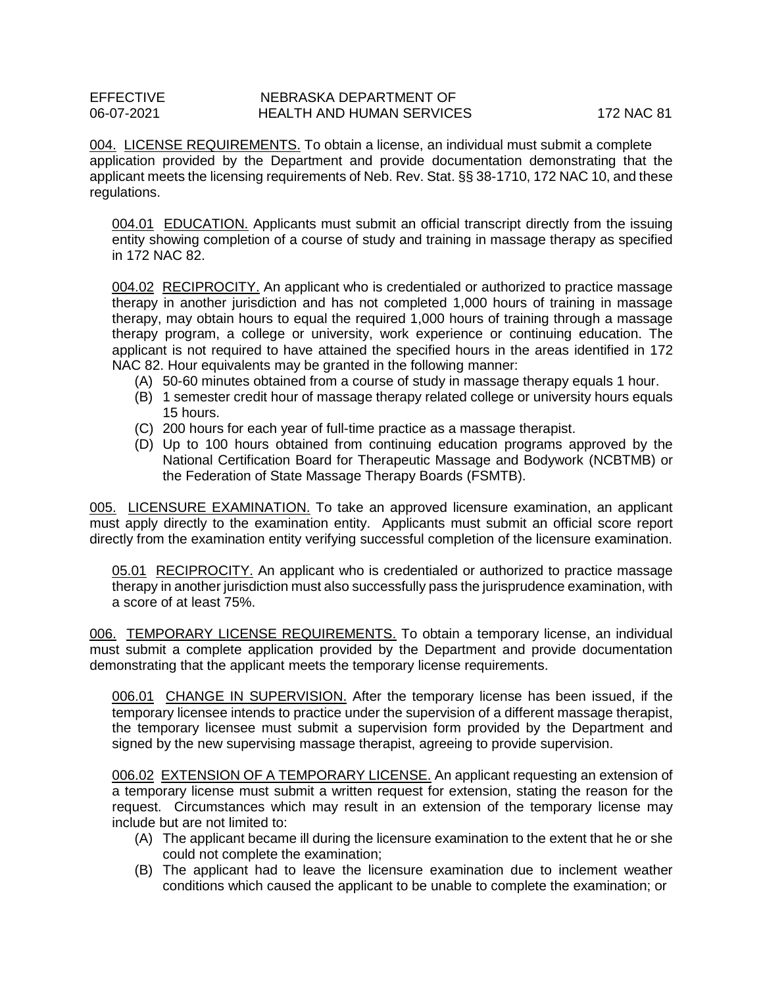### EFFECTIVE NEBRASKA DEPARTMENT OF 106-07-2021<br>HEALTH AND HUMAN SERVICE 06-07-2021 HEALTH AND HUMAN SERVICES 172 NAC 81

004. LICENSE REQUIREMENTS. To obtain a license, an individual must submit a complete application provided by the Department and provide documentation demonstrating that the applicant meets the licensing requirements of Neb. Rev. Stat. §§ 38-1710, 172 NAC 10, and these regulations.

004.01 EDUCATION. Applicants must submit an official transcript directly from the issuing entity showing completion of a course of study and training in massage therapy as specified in 172 NAC 82.

004.02 RECIPROCITY. An applicant who is credentialed or authorized to practice massage therapy in another jurisdiction and has not completed 1,000 hours of training in massage therapy, may obtain hours to equal the required 1,000 hours of training through a massage therapy program, a college or university, work experience or continuing education. The applicant is not required to have attained the specified hours in the areas identified in 172 NAC 82. Hour equivalents may be granted in the following manner:

- (A) 50-60 minutes obtained from a course of study in massage therapy equals 1 hour.
- (B) 1 semester credit hour of massage therapy related college or university hours equals 15 hours.
- (C) 200 hours for each year of full-time practice as a massage therapist.
- (D) Up to 100 hours obtained from continuing education programs approved by the National Certification Board for Therapeutic Massage and Bodywork (NCBTMB) or the Federation of State Massage Therapy Boards (FSMTB).

005. LICENSURE EXAMINATION. To take an approved licensure examination, an applicant must apply directly to the examination entity. Applicants must submit an official score report directly from the examination entity verifying successful completion of the licensure examination.

05.01 RECIPROCITY. An applicant who is credentialed or authorized to practice massage therapy in another jurisdiction must also successfully pass the jurisprudence examination, with a score of at least 75%.

006. TEMPORARY LICENSE REQUIREMENTS. To obtain a temporary license, an individual must submit a complete application provided by the Department and provide documentation demonstrating that the applicant meets the temporary license requirements.

006.01 CHANGE IN SUPERVISION. After the temporary license has been issued, if the temporary licensee intends to practice under the supervision of a different massage therapist, the temporary licensee must submit a supervision form provided by the Department and signed by the new supervising massage therapist, agreeing to provide supervision.

006.02 EXTENSION OF A TEMPORARY LICENSE. An applicant requesting an extension of a temporary license must submit a written request for extension, stating the reason for the request. Circumstances which may result in an extension of the temporary license may include but are not limited to:

- (A) The applicant became ill during the licensure examination to the extent that he or she could not complete the examination;
- (B) The applicant had to leave the licensure examination due to inclement weather conditions which caused the applicant to be unable to complete the examination; or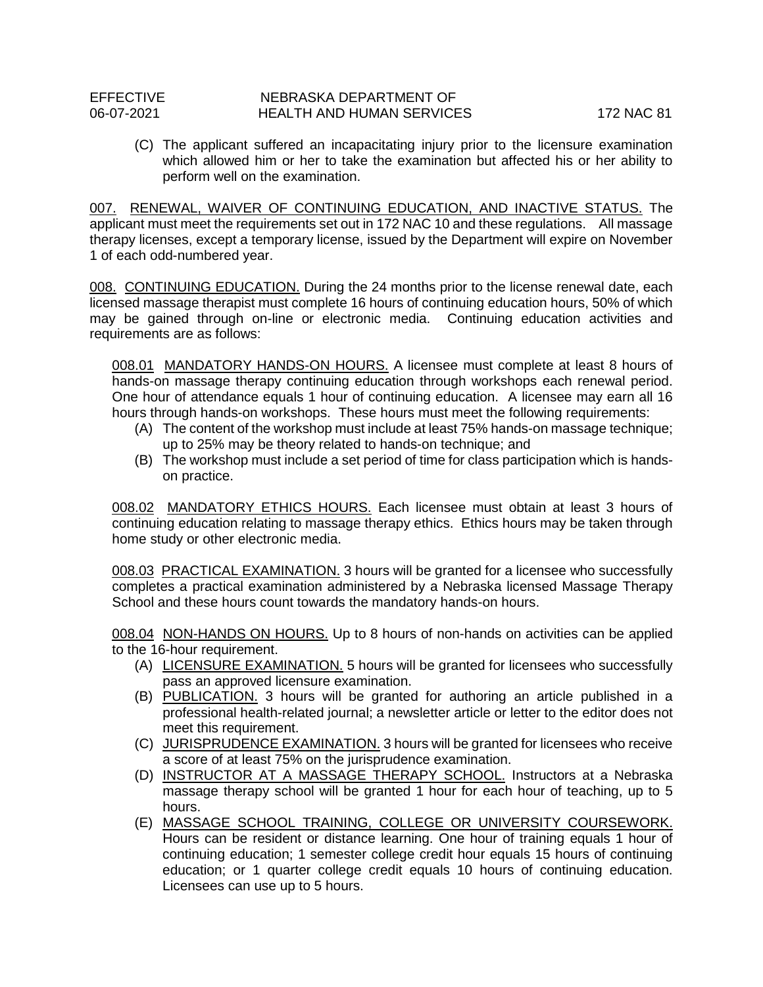(C) The applicant suffered an incapacitating injury prior to the licensure examination which allowed him or her to take the examination but affected his or her ability to perform well on the examination.

007. RENEWAL, WAIVER OF CONTINUING EDUCATION, AND INACTIVE STATUS. The applicant must meet the requirements set out in 172 NAC 10 and these regulations. All massage therapy licenses, except a temporary license, issued by the Department will expire on November 1 of each odd-numbered year.

008. CONTINUING EDUCATION. During the 24 months prior to the license renewal date, each licensed massage therapist must complete 16 hours of continuing education hours, 50% of which may be gained through on-line or electronic media. Continuing education activities and requirements are as follows:

008.01 MANDATORY HANDS-ON HOURS. A licensee must complete at least 8 hours of hands-on massage therapy continuing education through workshops each renewal period. One hour of attendance equals 1 hour of continuing education. A licensee may earn all 16 hours through hands-on workshops. These hours must meet the following requirements:

- (A) The content of the workshop must include at least 75% hands-on massage technique; up to 25% may be theory related to hands-on technique; and
- (B) The workshop must include a set period of time for class participation which is handson practice.

008.02 MANDATORY ETHICS HOURS. Each licensee must obtain at least 3 hours of continuing education relating to massage therapy ethics. Ethics hours may be taken through home study or other electronic media.

008.03 PRACTICAL EXAMINATION. 3 hours will be granted for a licensee who successfully completes a practical examination administered by a Nebraska licensed Massage Therapy School and these hours count towards the mandatory hands-on hours.

008.04 NON-HANDS ON HOURS. Up to 8 hours of non-hands on activities can be applied to the 16-hour requirement.

- (A) LICENSURE EXAMINATION. 5 hours will be granted for licensees who successfully pass an approved licensure examination.
- (B) PUBLICATION. 3 hours will be granted for authoring an article published in a professional health-related journal; a newsletter article or letter to the editor does not meet this requirement.
- (C) JURISPRUDENCE EXAMINATION. 3 hours will be granted for licensees who receive a score of at least 75% on the jurisprudence examination.
- (D) INSTRUCTOR AT A MASSAGE THERAPY SCHOOL. Instructors at a Nebraska massage therapy school will be granted 1 hour for each hour of teaching, up to 5 hours.
- (E) MASSAGE SCHOOL TRAINING, COLLEGE OR UNIVERSITY COURSEWORK. Hours can be resident or distance learning. One hour of training equals 1 hour of continuing education; 1 semester college credit hour equals 15 hours of continuing education; or 1 quarter college credit equals 10 hours of continuing education. Licensees can use up to 5 hours.